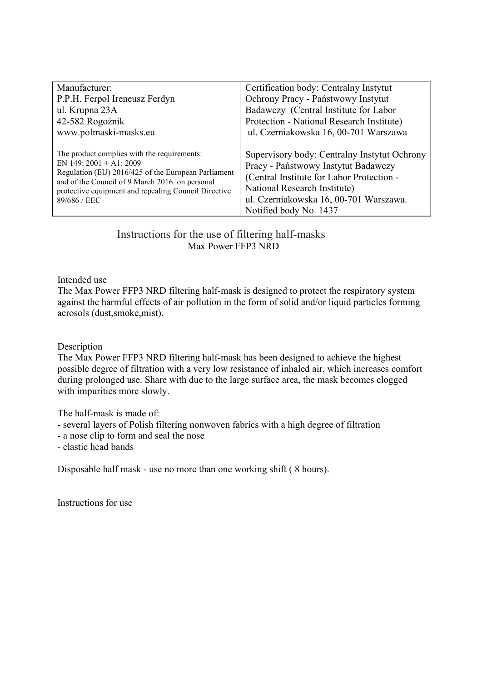| Manufacturer:                                                                                                                                                                  | Certification body: Centralny Instytut       |
|--------------------------------------------------------------------------------------------------------------------------------------------------------------------------------|----------------------------------------------|
| P.P.H. Ferpol Ireneusz Ferdyn                                                                                                                                                  | Ochrony Pracy - Państwowy Instytut           |
| ul. Krupna 23A                                                                                                                                                                 | Badawczy (Central Institute for Labor        |
| 42-582 Rogoźnik                                                                                                                                                                | Protection - National Research Institute)    |
| www.polmaski-masks.eu                                                                                                                                                          | ul. Czerniakowska 16, 00-701 Warszawa        |
|                                                                                                                                                                                |                                              |
| The product complies with the requirements:                                                                                                                                    | Supervisory body: Centralny Instytut Ochrony |
| EN 149: $2001 + A1: 2009$                                                                                                                                                      | Pracy - Państwowy Instytut Badawczy          |
| Regulation (EU) 2016/425 of the European Parliament<br>and of the Council of 9 March 2016. on personal<br>protective equipment and repealing Council Directive<br>89/686 / EEC | (Central Institute for Labor Protection -    |
|                                                                                                                                                                                | National Research Institute)                 |
|                                                                                                                                                                                | ul. Czerniakowska 16, 00-701 Warszawa.       |
|                                                                                                                                                                                | Notified body No. 1437                       |

 Instructions for the use of filtering half-masks Max Power FFP3 NRD

Intended use

The Max Power FFP3 NRD filtering half-mask is designed to protect the respiratory system against the harmful effects of air pollution in the form of solid and/or liquid particles forming aerosols (dust,smoke,mist).

Description

The Max Power FFP3 NRD filtering half-mask has been designed to achieve the highest possible degree of filtration with a very low resistance of inhaled air, which increases comfort during prolonged use. Share with due to the large surface area, the mask becomes clogged with impurities more slowly.

The half-mask is made of:

- several layers of Polish filtering nonwoven fabrics with a high degree of filtration

- a nose clip to form and seal the nose

- elastic head bands

Disposable half mask - use no more than one working shift ( 8 hours).

Instructions for use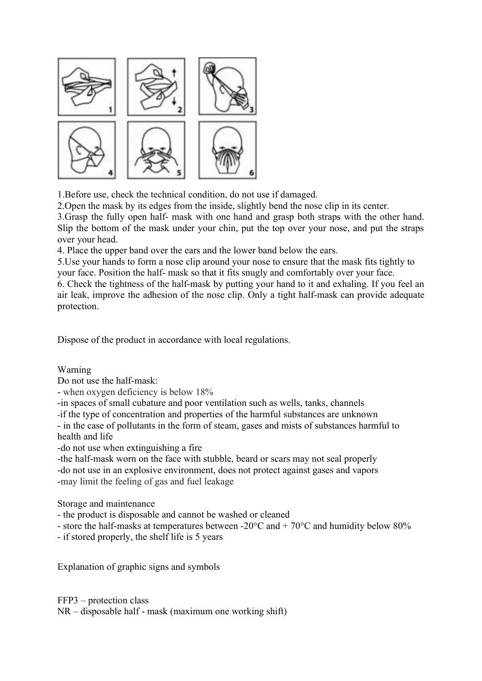

1.Before use, check the technical condition, do not use if damaged.

2.Open the mask by its edges from the inside, slightly bend the nose clip in its center.

3.Grasp the fully open half- mask with one hand and grasp both straps with the other hand. Slip the bottom of the mask under your chin, put the top over your nose, and put the straps over your head.

4. Place the upper band over the ears and the lower band below the ears.

5.Use your hands to form a nose clip around your nose to ensure that the mask fits tightly to your face. Position the half- mask so that it fits snugly and comfortably over your face.

6. Check the tightness of the half-mask by putting your hand to it and exhaling. If you feel an air leak, improve the adhesion of the nose clip. Only a tight half-mask can provide adequate protection.

Dispose of the product in accordance with local regulations.

Warning

Do not use the half-mask:

- when oxygen deficiency is below 18%

-in spaces of small cubature and poor ventilation such as wells, tanks, channels

-if the type of concentration and properties of the harmful substances are unknown

- in the case of pollutants in the form of steam, gases and mists of substances harmful to health and life

-do not use when extinguishing a fire

-the half-mask worn on the face with stubble, beard or scars may not seal properly -do not use in an explosive environment, does not protect against gases and vapors -may limit the feeling of gas and fuel leakage

Storage and maintenance

- the product is disposable and cannot be washed or cleaned

- store the half-masks at temperatures between -20 $^{\circ}$ C and + 70 $^{\circ}$ C and humidity below 80%

- if stored properly, the shelf life is 5 years

Explanation of graphic signs and symbols

FFP3 – protection class NR – disposable half - mask (maximum one working shift)